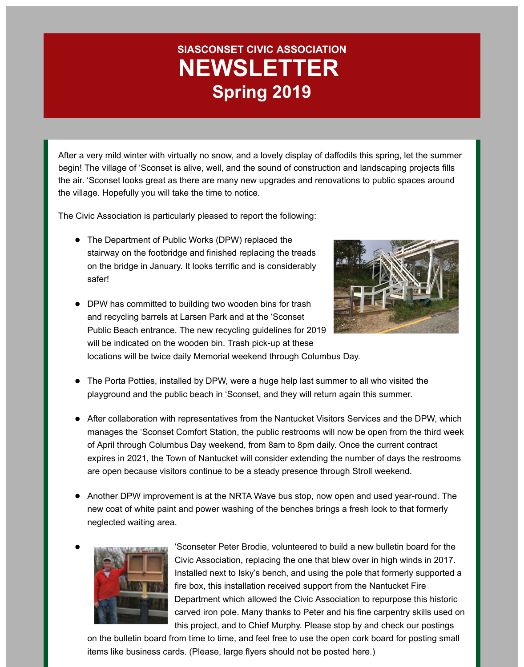# **SIASCONSET CIVIC ASSOCIATION NEWSLETTER Spring 2019**

After a very mild winter with virtually no snow, and a lovely display of daffodils this spring, let the summer begin! The village of 'Sconset is alive, well, and the sound of construction and landscaping projects fills the air. 'Sconset looks great as there are many new upgrades and renovations to public spaces around the village. Hopefully you will take the time to notice.

The Civic Association is particularly pleased to report the following:

- The Department of Public Works (DPW) replaced the stairway on the footbridge and finished replacing the treads on the bridge in January. It looks terrific and is considerably safer!
- 
- DPW has committed to building two wooden bins for trash and recycling barrels at Larsen Park and at the 'Sconset Public Beach entrance. The new recycling guidelines for 2019 will be indicated on the wooden bin. Trash pick-up at these locations will be twice daily Memorial weekend through Columbus Day.
- The Porta Potties, installed by DPW, were a huge help last summer to all who visited the playground and the public beach in 'Sconset, and they will return again this summer.
- After collaboration with representatives from the Nantucket Visitors Services and the DPW, which manages the 'Sconset Comfort Station, the public restrooms will now be open from the third week of April through Columbus Day weekend, from 8am to 8pm daily. Once the current contract expires in 2021, the Town of Nantucket will consider extending the number of days the restrooms are open because visitors continue to be a steady presence through Stroll weekend.
- Another DPW improvement is at the NRTA Wave bus stop, now open and used year-round. The new coat of white paint and power washing of the benches brings a fresh look to that formerly neglected waiting area.



'Sconseter Peter Brodie, volunteered to build a new bulletin board for the Civic Association, replacing the one that blew over in high winds in 2017. Installed next to Isky's bench, and using the pole that formerly supported a fire box, this installation received support from the Nantucket Fire Department which allowed the Civic Association to repurpose this historic carved iron pole. Many thanks to Peter and his fine carpentry skills used on this project, and to Chief Murphy. Please stop by and check our postings

on the bulletin board from time to time, and feel free to use the open cork board for posting small items like business cards. (Please, large flyers should not be posted here.)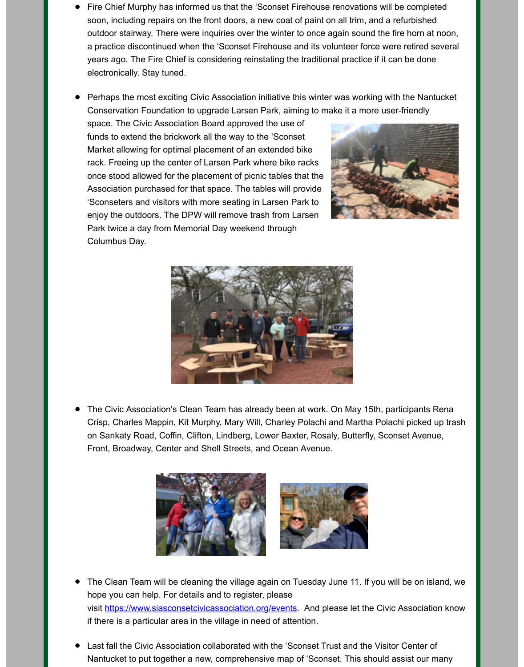Perhaps the most exciting Civic Association initiative this winter was working with the Nantuc Conservation Foundation to upgrade Larsen Park, aiming to make it a more user-friendly

space. The Civic Association Board approved the use of funds to extend the brickwork all the way to the 'Sconset Market allowing for optimal placement of an extended bike rack. Freeing up the center of Larsen Park where bike racks once stood allowed for the placement of picnic tables that the Association purchased for that space. The tables will provide 'Sconseters and visitors with more seating in Larsen Park to enjoy the outdoors. The DPW will remove trash from Larsen Park twice a day from Memorial Day weekend through Columbus Day.





The Civic Association's Clean Team has already been at work. On May 15th, participants Renange 1. Crisp, Charles Mappin, Kit Murphy, Mary Will, Charley Polachi and Martha Polachi picked up on Sankaty Road, Coffin, Clifton, Lindberg, Lower Baxter, Rosaly, Butterfly, Sconset Avenue, Front, Broadway, Center and Shell Streets, and Ocean Avenue.



- The Clean Team will be cleaning the village again on Tuesday June 11. If you will be on islan hope you can help. For details and to register, please visit https://www.siasconsetcivicassociation.org/events. And please let the Civic Association if there is a particular area in the village in need of attention.
- Last fall the Civic Association collaborated with the 'Sconset Trust and the Visitor Center of Nantucket to put together a new, comprehensive map of 'Sconset. This should assist our mai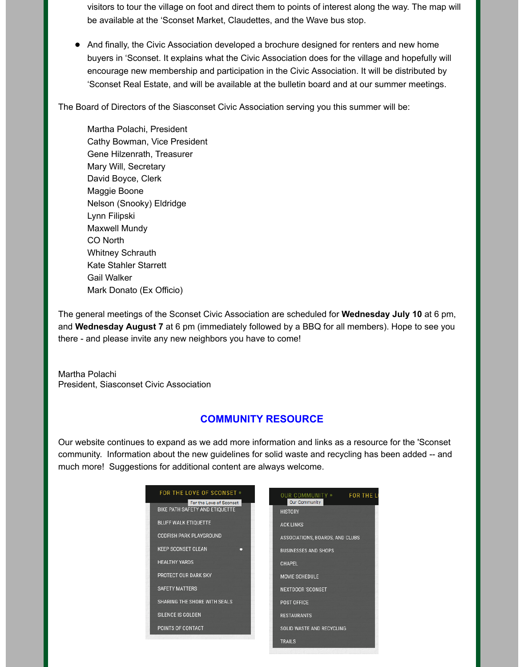visitors to tour the village on foot and direct them to points of interest along the way. The map will be available at the 'Sconset Market, Claudettes, and the Wave bus stop.

And finally, the Civic Association developed a brochure designed for renters and new home buyers in 'Sconset. It explains what the Civic Association does for the village and hopefully will encourage new membership and participation in the Civic Association. It will be distributed by 'Sconset Real Estate, and will be available at the bulletin board and at our summer meetings.

The Board of Directors of the Siasconset Civic Association serving you this summer will be:

Martha Polachi, President Cathy Bowman, Vice President Gene Hilzenrath, Treasurer Mary Will, Secretary David Boyce, Clerk Maggie Boone Nelson (Snooky) Eldridge Lynn Filipski Maxwell Mundy CO North Whitney Schrauth Kate Stahler Starrett Gail Walker Mark Donato (Ex Officio)

The general meetings of the Sconset Civic Association are scheduled for **Wednesday July 10** at 6 pm, and **Wednesday August 7** at 6 pm (immediately followed by a BBQ for all members). Hope to see you there - and please invite any new neighbors you have to come!

Martha Polachi President, Siasconset Civic Association

#### **COMMUNITY RESOURCE**

Our website continues to expand as we add more information and links as a resource for the 'Sconset community. Information about the new guidelines for solid waste and recycling has been added -- and much more! Suggestions for additional content are always welcome.

| <b>FOR THE LOVE OF SCONSET •</b><br>For the Love of Sconset | <b>FOR THE LI</b><br>OUR COMMUNITY .<br>Our Community |
|-------------------------------------------------------------|-------------------------------------------------------|
| BIKE PATH SAFETY AND ETIQUETTE                              | <b>HISTORY</b>                                        |
| <b>BLUFF WALK ETIQUETTE</b>                                 | <b>ACK LINKS</b>                                      |
| <b>CODFISH PARK PLAYGROUND</b>                              | ASSOCIATIONS, BOARDS, AND CLUBS                       |
| <b>KEEP SCONSET CLEAN</b><br>о                              | <b>BUSINESSES AND SHOPS</b>                           |
| <b>HEALTHY YARDS</b>                                        | <b>CHAPEL</b>                                         |
| PROTECT OUR DARK SKY                                        | MOVIE SCHEDULE                                        |
| <b>SAFETY MATTERS</b>                                       | <b>NEXTDOOR 'SCONSET</b>                              |
| SHARING THE SHORE WITH SEALS                                | POST OFFICE                                           |
| SILENCE IS GOLDEN                                           | <b>RESTAURANTS</b>                                    |
| POINTS OF CONTACT                                           | SOLID WASTE AND RECYCLING                             |
|                                                             | <b>TRAILS</b>                                         |
|                                                             |                                                       |